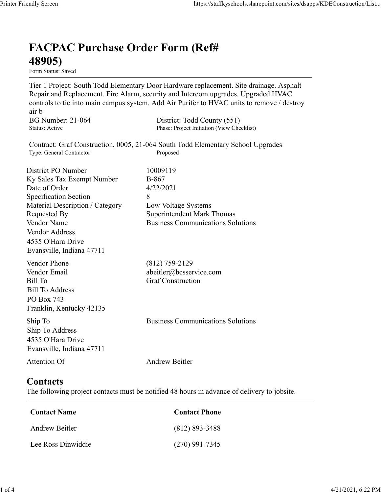## FACPAC Purchase Order Form (Ref# 48905)

Form Status: Saved

Tier 1 Project: South Todd Elementary Door Hardware replacement. Site drainage. Asphalt Repair and Replacement. Fire Alarm, security and Intercom upgrades. Upgraded HVAC controls to tie into main campus system. Add Air Purifer to HVAC units to remove / destroy air b https://staffkyschools.sharepoint.com/sites/dsapps/KDEConstructic<br> **FACPAC Purchase Order Form (Ref#**<br> **FERIORE PURCHASE Order Form (Ref#**<br>
Tier 1 Project: South Todd Elementary Door Hardware replacement. Site drainage. As https://staffkyschools.sharepoint.com/sites/dsapps/KDEConstructic<br> **FACPAC Purchase Order Form (Ref#**<br>
H8905)<br>
Tier 1 Project: South Todd Elementary Door Hardware replacement. Site drainage. Asphalt<br>
Repair and Replacement https://staffkyschools.sharepoint.com/sites/dsarps/KDFConstructic<br> **FACPAC Purchase Order Form (Ref#**<br>
Form Status: Saved<br>
Form Status: Saved<br>
Terp 1 Project: South Todd Elementary Door Hardware replacement. Site drainage. **FACPAC Purchase Order Form (Ref#** $\bf{48905}$ **)**<br> **Form Status:** Saved<br>
Tier 1 Project: South Todd Elementary Door Hardware replacement. Site drainage. Asphalt<br>
Repair and Replacement. Fire Alarm, security and Intercom upgr

Contract: Graf Construction, 0005, 21-064 South Todd Elementary School Upgrades

**FACPAC Purchase Order Form (Ref#**<br> **48905)**<br> **Eom Stans:** Saved<br> **Eom Stans:** Saved<br> **Repair and Replacement. Fire Alarm, security and Intercom upgrades. Upgraded HVAC<br>
<b>Controls to tie into main campus system. Add Air P FACPAC Purchase Order Form (Ref#** $\bf{48905}$ <br>
Form Status: Saved<br>
Tier 1 Project: South Todd Elementary Door Hardware replacement. Site drainage. Asphalt<br>
Tier 1 Project: South Todd Elementary Door Hardware replacement. **FACPAC Purchase Order Form (Ref#**<br> **48905)**<br>
Form Status: Saved<br>
Tier 1 Project: South Todd Elementary Door Hardware replacement. Site drainage. Asphalt<br>
Repair and Replacement. Fire Alarm, security and Intercom upgrades. **FACPAC Purchase Order Form (Ref#**<br> **48905)**<br>
Form States Saved<br>
Term States Saved<br>
Term Project: South Todd Elementary Door Hardware replacement. Site drainage. Asphalt<br>
Teapair and Replacement. Fire Alarm, security and **48905)**<br>
Form Status: Saved<br>
Tier 1 Project: South Todd Elementary Door Hardware replacement. Site drainage. Asphalt<br>
Repair and Replacement. Fire Alarm, security and Intercom upgrades. Upgraded HVAC<br>
econtrols to tie in **Front Property Community**<br> **From Status:** Saved<br>
Tier 1 Project: South Todd Elementary Door Hardware replacement. Site drainage. Asphalt<br>
Repair and Replacement. Fire Alarm, security and Intercom upgrades. Upgraded HVAC<br> Vendor Address 4535 O'Hara Drive Evansville, Indiana 47711 controls to the into main campus system. Add Air Puriter to HVAC units to remove / destroy<br>
air b<br>
air b<br>
BG Number: 21-064 District: Todd County (551)<br>
Status: Active<br>
Contract: Graf Construction, 0005, 21-064 South Todd ar b<br>
BG Number: 21-064 District: Todd County (551)<br>
Status: Active Phase: Project Initiation (View Checklist)<br>
Contract: Graf Construction, 0005, 21-064 South Todd Elementary School Upgrades<br>
Type: General Contraction<br>
Ex Bill Number: 21-064<br>
Bill Number<br>
Status: Active<br>
Status: Active<br>
Contract: Graf Construction, 0005, 21-064 South Todd Elementary School Upgrades<br>
Type: General Contractor<br>
District PO Number<br>
District PO Number<br>
Bill To G Bill To Address PO Box 743 Franklin, Kentucky 42135 District PO Number<br>
IS Ny Sales Tax Exempt Number<br>
ID As Softer<br>
Specification Section<br>
Securication Section<br>
Material Description / Category<br>
IS November Securications Solutions<br>
Nondor Name<br>
Neongested By<br>
Superinted Mar Ship To Address 4535 O'Hara Drive Evansville, Indiana 47711 Material Description / Category<br>
Requested By<br>
Requested By<br>
Nodor Name<br>
Vendor Name<br>
Vendor Address<br>
Vendor Address<br>
1433 O'Hara Drive<br>
Evansville, Indiana 47711<br>
Vendor Phone<br>
(812) 759-2129<br>
Vendor Phone<br>
(812) 759-2129 Example (812) 759-2129<br>
Fendor Email<br>
Fill To<br>
Fendor Email<br>
IIII To<br>
Elli To<br>
III To<br>
Contact Sample To<br>
Contact Construction<br>
In To<br>
Contact S35 O'Box 743<br>
SOS O'Hara Drive<br>
Vivarsville, Indiana 47711<br>
Andrew Beitler<br>
Co Vendor Email<br>
iill To<br>
Andress<br>
iill To<br>
Address<br>
O Box 743<br>
To<br>
No Do Box 743<br>
In p To<br>
Andrew Manucky 42135<br>
535 O'Hara Drive<br>
Vivansville, Indiana 47711<br>
Andrew Beitler<br> **Contact Server Drive**<br> **Contact Name<br>
Contact Ph** Sill To Address<br>
Co Box 743<br>
Co Ross 2<br>
Tranklin, Kentucky 42135<br>
hip To<br>
To Address<br>
S35 O'Hara Drive<br>
Vivansville, Indiana 47711<br>
Andrew Beitler<br> **ContactS**<br>
he following project contacts must be notified 48 hours in adv

## **Contacts**

The following project contacts must be notified 48 hours in advance of delivery to jobsite.

| <b>Contact Name</b> | <b>Contact Phone</b> |
|---------------------|----------------------|
| Andrew Beitler      | $(812) 893 - 3488$   |
| Lee Ross Dinwiddie  | $(270)$ 991-7345     |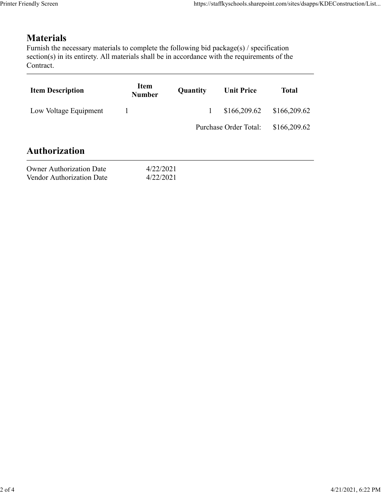## **Materials**

| endly Screen                                                                                                                                                                                                               |                        |          | https://staffkyschools.sharepoint.com/sites/dsapps/KDEConstruction/List |              |
|----------------------------------------------------------------------------------------------------------------------------------------------------------------------------------------------------------------------------|------------------------|----------|-------------------------------------------------------------------------|--------------|
|                                                                                                                                                                                                                            |                        |          |                                                                         |              |
| <b>Materials</b><br>Furnish the necessary materials to complete the following bid package(s) / specification<br>section(s) in its entirety. All materials shall be in accordance with the requirements of the<br>Contract. |                        |          |                                                                         |              |
| <b>Item Description</b>                                                                                                                                                                                                    | Item<br><b>Number</b>  | Quantity | <b>Unit Price</b>                                                       | <b>Total</b> |
| Low Voltage Equipment                                                                                                                                                                                                      | $\mathbf{1}$           |          | \$166,209.62                                                            | \$166,209.62 |
|                                                                                                                                                                                                                            |                        |          | Purchase Order Total:                                                   | \$166,209.62 |
| <b>Authorization</b>                                                                                                                                                                                                       |                        |          |                                                                         |              |
| <b>Owner Authorization Date</b><br>Vendor Authorization Date                                                                                                                                                               | 4/22/2021<br>4/22/2021 |          |                                                                         |              |
|                                                                                                                                                                                                                            |                        |          |                                                                         |              |